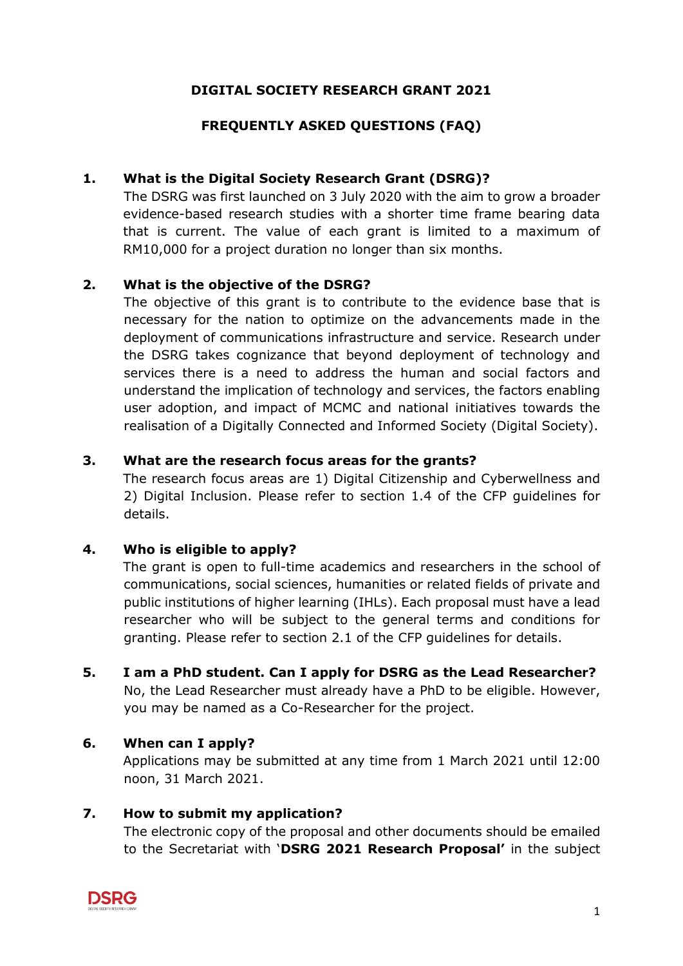# **DIGITAL SOCIETY RESEARCH GRANT 2021**

# **FREQUENTLY ASKED QUESTIONS (FAQ)**

# **1. What is the Digital Society Research Grant (DSRG)?**

The DSRG was first launched on 3 July 2020 with the aim to grow a broader evidence-based research studies with a shorter time frame bearing data that is current. The value of each grant is limited to a maximum of RM10,000 for a project duration no longer than six months.

# **2. What is the objective of the DSRG?**

The objective of this grant is to contribute to the evidence base that is necessary for the nation to optimize on the advancements made in the deployment of communications infrastructure and service. Research under the DSRG takes cognizance that beyond deployment of technology and services there is a need to address the human and social factors and understand the implication of technology and services, the factors enabling user adoption, and impact of MCMC and national initiatives towards the realisation of a Digitally Connected and Informed Society (Digital Society).

### **3. What are the research focus areas for the grants?**

The research focus areas are 1) Digital Citizenship and Cyberwellness and 2) Digital Inclusion. Please refer to section 1.4 of the CFP guidelines for details.

#### **4. Who is eligible to apply?**

The grant is open to full-time academics and researchers in the school of communications, social sciences, humanities or related fields of private and public institutions of higher learning (IHLs). Each proposal must have a lead researcher who will be subject to the general terms and conditions for granting. Please refer to section 2.1 of the CFP guidelines for details.

**5. I am a PhD student. Can I apply for DSRG as the Lead Researcher?** No, the Lead Researcher must already have a PhD to be eligible. However, you may be named as a Co-Researcher for the project.

# **6. When can I apply?**

Applications may be submitted at any time from 1 March 2021 until 12:00 noon, 31 March 2021.

# **7. How to submit my application?**

The electronic copy of the proposal and other documents should be emailed to the Secretariat with '**DSRG 2021 Research Proposal'** in the subject

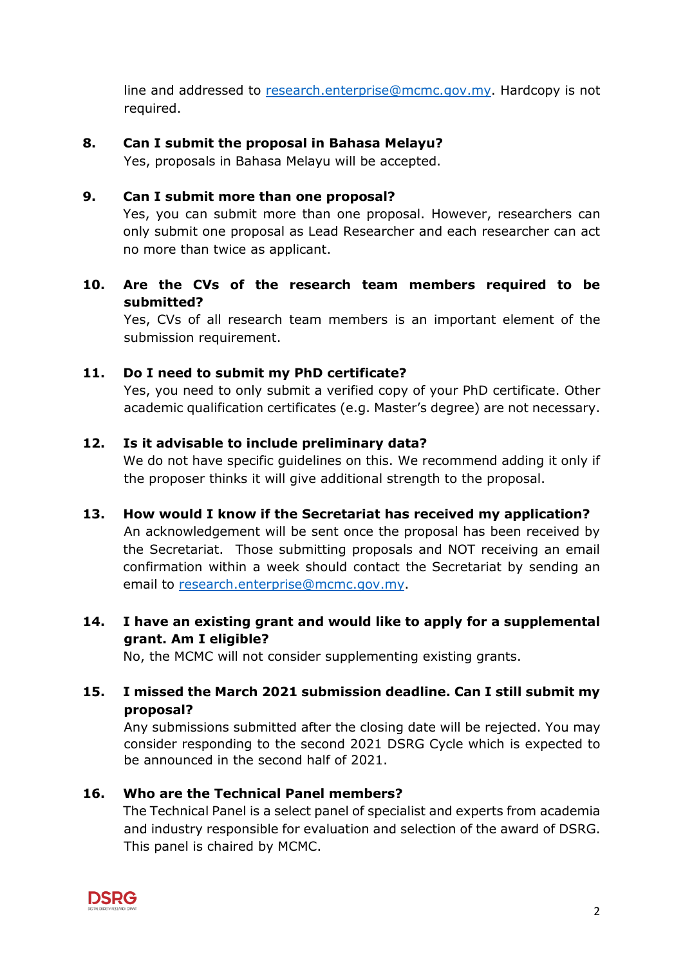line and addressed to [research.enterprise@mcmc.gov.my.](mailto:research.enterprise@mcmc.gov.my) Hardcopy is not required.

### **8. Can I submit the proposal in Bahasa Melayu?**

Yes, proposals in Bahasa Melayu will be accepted.

#### **9. Can I submit more than one proposal?**

Yes, you can submit more than one proposal. However, researchers can only submit one proposal as Lead Researcher and each researcher can act no more than twice as applicant.

# **10. Are the CVs of the research team members required to be submitted?**

Yes, CVs of all research team members is an important element of the submission requirement.

### **11. Do I need to submit my PhD certificate?**

Yes, you need to only submit a verified copy of your PhD certificate. Other academic qualification certificates (e.g. Master's degree) are not necessary.

#### **12. Is it advisable to include preliminary data?**

We do not have specific guidelines on this. We recommend adding it only if the proposer thinks it will give additional strength to the proposal.

**13. How would I know if the Secretariat has received my application?** An acknowledgement will be sent once the proposal has been received by the Secretariat. Those submitting proposals and NOT receiving an email confirmation within a week should contact the Secretariat by sending an

email to [research.enterprise@mcmc.gov.my.](mailto:research.enterprise@mcmc.gov.my)

# **14. I have an existing grant and would like to apply for a supplemental grant. Am I eligible?**

No, the MCMC will not consider supplementing existing grants.

# **15. I missed the March 2021 submission deadline. Can I still submit my proposal?**

Any submissions submitted after the closing date will be rejected. You may consider responding to the second 2021 DSRG Cycle which is expected to be announced in the second half of 2021.

# **16. Who are the Technical Panel members?**

The Technical Panel is a select panel of specialist and experts from academia and industry responsible for evaluation and selection of the award of DSRG. This panel is chaired by MCMC.